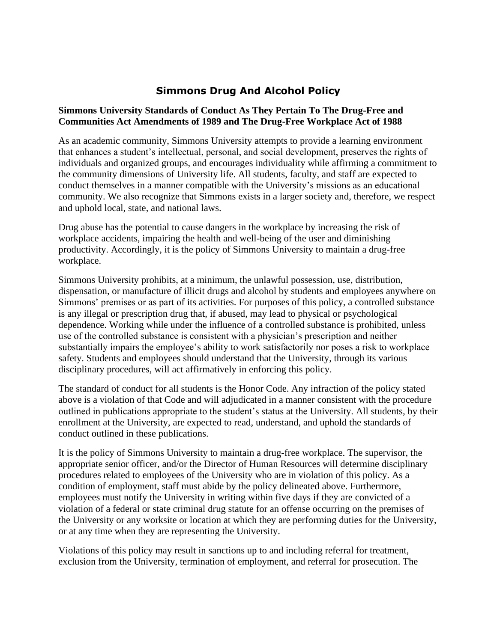# **Simmons Drug And Alcohol Policy**

#### **Simmons University Standards of Conduct As They Pertain To The Drug-Free and Communities Act Amendments of 1989 and The Drug-Free Workplace Act of 1988**

As an academic community, Simmons University attempts to provide a learning environment that enhances a student's intellectual, personal, and social development, preserves the rights of individuals and organized groups, and encourages individuality while affirming a commitment to the community dimensions of University life. All students, faculty, and staff are expected to conduct themselves in a manner compatible with the University's missions as an educational community. We also recognize that Simmons exists in a larger society and, therefore, we respect and uphold local, state, and national laws.

Drug abuse has the potential to cause dangers in the workplace by increasing the risk of workplace accidents, impairing the health and well-being of the user and diminishing productivity. Accordingly, it is the policy of Simmons University to maintain a drug-free workplace.

Simmons University prohibits, at a minimum, the unlawful possession, use, distribution, dispensation, or manufacture of illicit drugs and alcohol by students and employees anywhere on Simmons' premises or as part of its activities. For purposes of this policy, a controlled substance is any illegal or prescription drug that, if abused, may lead to physical or psychological dependence. Working while under the influence of a controlled substance is prohibited, unless use of the controlled substance is consistent with a physician's prescription and neither substantially impairs the employee's ability to work satisfactorily nor poses a risk to workplace safety. Students and employees should understand that the University, through its various disciplinary procedures, will act affirmatively in enforcing this policy.

The standard of conduct for all students is the Honor Code. Any infraction of the policy stated above is a violation of that Code and will adjudicated in a manner consistent with the procedure outlined in publications appropriate to the student's status at the University. All students, by their enrollment at the University, are expected to read, understand, and uphold the standards of conduct outlined in these publications.

It is the policy of Simmons University to maintain a drug-free workplace. The supervisor, the appropriate senior officer, and/or the Director of Human Resources will determine disciplinary procedures related to employees of the University who are in violation of this policy. As a condition of employment, staff must abide by the policy delineated above. Furthermore, employees must notify the University in writing within five days if they are convicted of a violation of a federal or state criminal drug statute for an offense occurring on the premises of the University or any worksite or location at which they are performing duties for the University, or at any time when they are representing the University.

Violations of this policy may result in sanctions up to and including referral for treatment, exclusion from the University, termination of employment, and referral for prosecution. The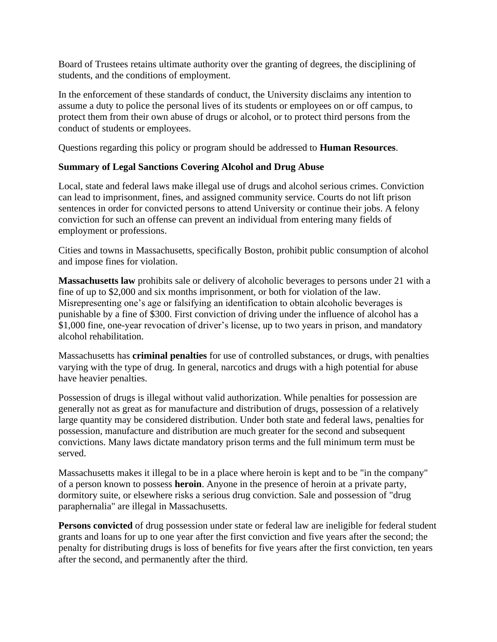Board of Trustees retains ultimate authority over the granting of degrees, the disciplining of students, and the conditions of employment.

In the enforcement of these standards of conduct, the University disclaims any intention to assume a duty to police the personal lives of its students or employees on or off campus, to protect them from their own abuse of drugs or alcohol, or to protect third persons from the conduct of students or employees.

Questions regarding this policy or program should be addressed to **Human Resources**.

### **Summary of Legal Sanctions Covering Alcohol and Drug Abuse**

Local, state and federal laws make illegal use of drugs and alcohol serious crimes. Conviction can lead to imprisonment, fines, and assigned community service. Courts do not lift prison sentences in order for convicted persons to attend University or continue their jobs. A felony conviction for such an offense can prevent an individual from entering many fields of employment or professions.

Cities and towns in Massachusetts, specifically Boston, prohibit public consumption of alcohol and impose fines for violation.

**Massachusetts law** prohibits sale or delivery of alcoholic beverages to persons under 21 with a fine of up to \$2,000 and six months imprisonment, or both for violation of the law. Misrepresenting one's age or falsifying an identification to obtain alcoholic beverages is punishable by a fine of \$300. First conviction of driving under the influence of alcohol has a \$1,000 fine, one-year revocation of driver's license, up to two years in prison, and mandatory alcohol rehabilitation.

Massachusetts has **criminal penalties** for use of controlled substances, or drugs, with penalties varying with the type of drug. In general, narcotics and drugs with a high potential for abuse have heavier penalties.

Possession of drugs is illegal without valid authorization. While penalties for possession are generally not as great as for manufacture and distribution of drugs, possession of a relatively large quantity may be considered distribution. Under both state and federal laws, penalties for possession, manufacture and distribution are much greater for the second and subsequent convictions. Many laws dictate mandatory prison terms and the full minimum term must be served.

Massachusetts makes it illegal to be in a place where heroin is kept and to be "in the company" of a person known to possess **heroin**. Anyone in the presence of heroin at a private party, dormitory suite, or elsewhere risks a serious drug conviction. Sale and possession of "drug paraphernalia" are illegal in Massachusetts.

**Persons convicted** of drug possession under state or federal law are ineligible for federal student grants and loans for up to one year after the first conviction and five years after the second; the penalty for distributing drugs is loss of benefits for five years after the first conviction, ten years after the second, and permanently after the third.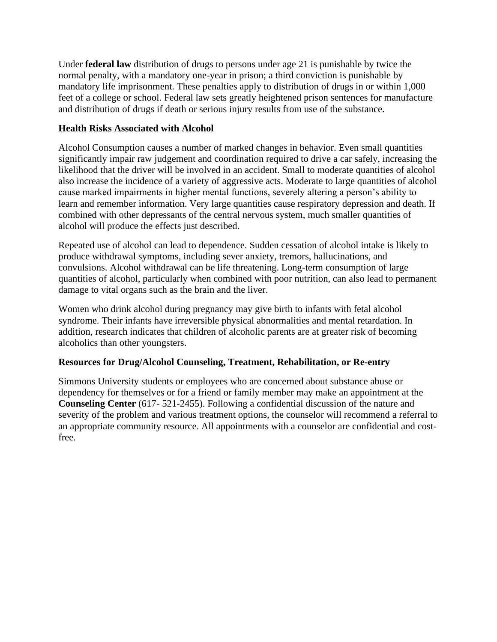Under **federal law** distribution of drugs to persons under age 21 is punishable by twice the normal penalty, with a mandatory one-year in prison; a third conviction is punishable by mandatory life imprisonment. These penalties apply to distribution of drugs in or within 1,000 feet of a college or school. Federal law sets greatly heightened prison sentences for manufacture and distribution of drugs if death or serious injury results from use of the substance.

### **Health Risks Associated with Alcohol**

Alcohol Consumption causes a number of marked changes in behavior. Even small quantities significantly impair raw judgement and coordination required to drive a car safely, increasing the likelihood that the driver will be involved in an accident. Small to moderate quantities of alcohol also increase the incidence of a variety of aggressive acts. Moderate to large quantities of alcohol cause marked impairments in higher mental functions, severely altering a person's ability to learn and remember information. Very large quantities cause respiratory depression and death. If combined with other depressants of the central nervous system, much smaller quantities of alcohol will produce the effects just described.

Repeated use of alcohol can lead to dependence. Sudden cessation of alcohol intake is likely to produce withdrawal symptoms, including sever anxiety, tremors, hallucinations, and convulsions. Alcohol withdrawal can be life threatening. Long-term consumption of large quantities of alcohol, particularly when combined with poor nutrition, can also lead to permanent damage to vital organs such as the brain and the liver.

Women who drink alcohol during pregnancy may give birth to infants with fetal alcohol syndrome. Their infants have irreversible physical abnormalities and mental retardation. In addition, research indicates that children of alcoholic parents are at greater risk of becoming alcoholics than other youngsters.

## **Resources for Drug/Alcohol Counseling, Treatment, Rehabilitation, or Re-entry**

Simmons University students or employees who are concerned about substance abuse or dependency for themselves or for a friend or family member may make an appointment at the **Counseling Center** (617- 521-2455). Following a confidential discussion of the nature and severity of the problem and various treatment options, the counselor will recommend a referral to an appropriate community resource. All appointments with a counselor are confidential and costfree.